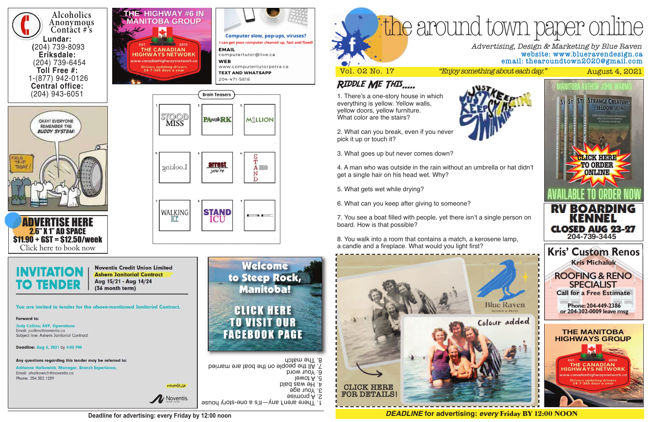

**Deadline for advertising: every Friday by 12:00 noon**